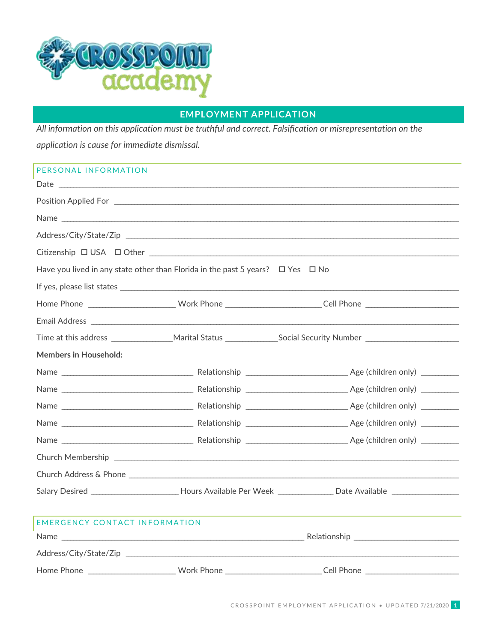

## **EMPLOYMENT APPLICATION**

All information on this application must be truthful and correct. Falsification or misrepresentation on the application is cause for immediate dismissal.

| PERSONAL INFORMATION                                                                     |  |                                                                                                                  |  |  |  |
|------------------------------------------------------------------------------------------|--|------------------------------------------------------------------------------------------------------------------|--|--|--|
|                                                                                          |  |                                                                                                                  |  |  |  |
|                                                                                          |  |                                                                                                                  |  |  |  |
|                                                                                          |  | Name                                                                                                             |  |  |  |
|                                                                                          |  |                                                                                                                  |  |  |  |
|                                                                                          |  |                                                                                                                  |  |  |  |
| Have you lived in any state other than Florida in the past 5 years? $\Box$ Yes $\Box$ No |  |                                                                                                                  |  |  |  |
|                                                                                          |  |                                                                                                                  |  |  |  |
|                                                                                          |  | Home Phone ___________________________Work Phone __________________________Cell Phone ________________________   |  |  |  |
|                                                                                          |  |                                                                                                                  |  |  |  |
|                                                                                          |  |                                                                                                                  |  |  |  |
| <b>Members in Household:</b>                                                             |  |                                                                                                                  |  |  |  |
|                                                                                          |  |                                                                                                                  |  |  |  |
|                                                                                          |  |                                                                                                                  |  |  |  |
|                                                                                          |  |                                                                                                                  |  |  |  |
|                                                                                          |  |                                                                                                                  |  |  |  |
|                                                                                          |  |                                                                                                                  |  |  |  |
|                                                                                          |  |                                                                                                                  |  |  |  |
|                                                                                          |  |                                                                                                                  |  |  |  |
|                                                                                          |  | Salary Desired __________________________Hours Available Per Week _________________Date Available ______________ |  |  |  |
|                                                                                          |  |                                                                                                                  |  |  |  |
| <b>EMERGENCY CONTACT INFORMATION</b>                                                     |  |                                                                                                                  |  |  |  |
|                                                                                          |  |                                                                                                                  |  |  |  |
| Address/City/State/Zip                                                                   |  |                                                                                                                  |  |  |  |
| Home Phone ____________________________Work Phone ______________________________         |  | Cell Phone                                                                                                       |  |  |  |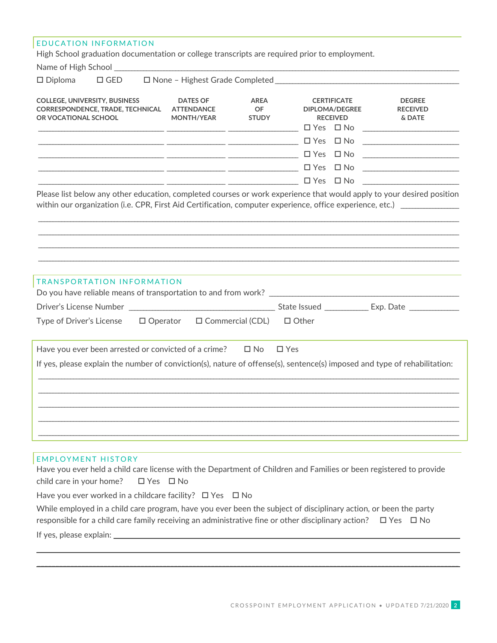| <b>EDUCATION INFORMATION</b>                                                                                                                                                                                                                                                                 |                                                                                                                     |                                          |                                                                |                                            |
|----------------------------------------------------------------------------------------------------------------------------------------------------------------------------------------------------------------------------------------------------------------------------------------------|---------------------------------------------------------------------------------------------------------------------|------------------------------------------|----------------------------------------------------------------|--------------------------------------------|
| High School graduation documentation or college transcripts are required prior to employment.                                                                                                                                                                                                |                                                                                                                     |                                          |                                                                |                                            |
|                                                                                                                                                                                                                                                                                              |                                                                                                                     |                                          | the control of the control of the control of                   |                                            |
| $\square$ Diploma<br>$\square$ GED                                                                                                                                                                                                                                                           |                                                                                                                     |                                          |                                                                |                                            |
| <b>COLLEGE, UNIVERSITY, BUSINESS</b><br><b>CORRESPONDENCE, TRADE, TECHNICAL</b><br>OR VOCATIONAL SCHOOL                                                                                                                                                                                      | <b>DATES OF</b><br><b>ATTENDANCE</b><br>MONTH/YEAR<br><u> 2002 - Andrea San Andrew American American (h. 1878).</u> | <b>AREA</b><br><b>OF</b><br><b>STUDY</b> | <b>CERTIFICATE</b><br><b>DIPLOMA/DEGREE</b><br><b>RECEIVED</b> | <b>DEGREE</b><br><b>RECEIVED</b><br>& DATE |
|                                                                                                                                                                                                                                                                                              |                                                                                                                     |                                          |                                                                |                                            |
|                                                                                                                                                                                                                                                                                              |                                                                                                                     |                                          |                                                                |                                            |
| □ Yes □ No                                                                                                                                                                                                                                                                                   |                                                                                                                     |                                          |                                                                |                                            |
|                                                                                                                                                                                                                                                                                              |                                                                                                                     |                                          |                                                                | <u> 1989 - Johann Barbara, martin a</u>    |
|                                                                                                                                                                                                                                                                                              |                                                                                                                     |                                          |                                                                |                                            |
| TRANSPORTATION INFORMATION<br>$\Box$ Operator<br>Type of Driver's License                                                                                                                                                                                                                    |                                                                                                                     | □ Commercial (CDL)                       | $\Box$ Other                                                   |                                            |
| Have you ever been arrested or convicted of a crime? $\Box$ No $\Box$ Yes<br>If yes, please explain the number of conviction(s), nature of offense(s), sentence(s) imposed and type of rehabilitation:                                                                                       |                                                                                                                     |                                          |                                                                |                                            |
|                                                                                                                                                                                                                                                                                              |                                                                                                                     |                                          |                                                                |                                            |
| <b>EMPLOYMENT HISTORY</b><br>Have you ever held a child care license with the Department of Children and Families or been registered to provide<br>child care in your home?<br>$\Box$ Yes $\Box$ No                                                                                          |                                                                                                                     |                                          |                                                                |                                            |
| Have you ever worked in a childcare facility? $\Box$ Yes $\Box$ No<br>While employed in a child care program, have you ever been the subject of disciplinary action, or been the party<br>responsible for a child care family receiving an administrative fine or other disciplinary action? |                                                                                                                     |                                          |                                                                | $\Box$ Yes $\Box$ No                       |
|                                                                                                                                                                                                                                                                                              |                                                                                                                     |                                          |                                                                |                                            |

 $\mathcal{L}_\mathcal{L} = \{ \mathcal{L}_\mathcal{L} = \{ \mathcal{L}_\mathcal{L} = \{ \mathcal{L}_\mathcal{L} = \{ \mathcal{L}_\mathcal{L} = \{ \mathcal{L}_\mathcal{L} = \{ \mathcal{L}_\mathcal{L} = \{ \mathcal{L}_\mathcal{L} = \{ \mathcal{L}_\mathcal{L} = \{ \mathcal{L}_\mathcal{L} = \{ \mathcal{L}_\mathcal{L} = \{ \mathcal{L}_\mathcal{L} = \{ \mathcal{L}_\mathcal{L} = \{ \mathcal{L}_\mathcal{L} = \{ \mathcal{L}_\mathcal{$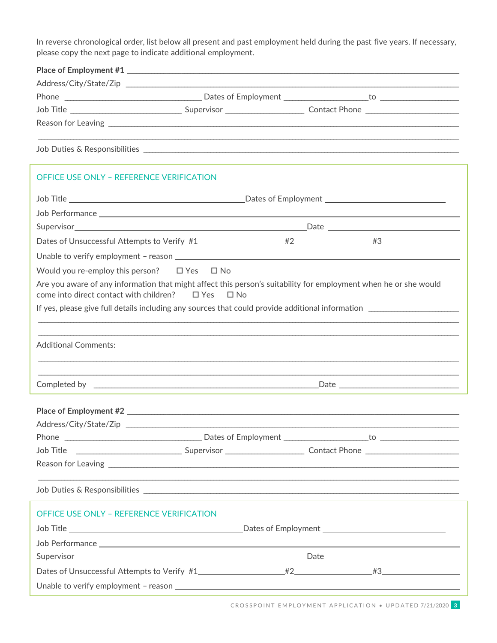In reverse chronological order, list below all present and past employment held during the past five years. If necessary, please copy the next page to indicate additional employment.

| Dates of Employment to to the total control of the total control of the total control of the total control of the total control of the total control of the total control of the total control of the total control of the tot |
|--------------------------------------------------------------------------------------------------------------------------------------------------------------------------------------------------------------------------------|
| <b>Contact Phone Contact Phone</b>                                                                                                                                                                                             |
|                                                                                                                                                                                                                                |
|                                                                                                                                                                                                                                |
|                                                                                                                                                                                                                                |

## OFFICE USE ONLY - REFERENCE VERIFICATION

| Job Title <b>Example 2018</b> 2019 2019 2019 2021 2022 2023 2024 2022 2023 2024 2022 2023 2024 2022 2023 2024 2022 2023                                                |  |  |  |  |  |
|------------------------------------------------------------------------------------------------------------------------------------------------------------------------|--|--|--|--|--|
|                                                                                                                                                                        |  |  |  |  |  |
|                                                                                                                                                                        |  |  |  |  |  |
|                                                                                                                                                                        |  |  |  |  |  |
|                                                                                                                                                                        |  |  |  |  |  |
| Would you re-employ this person? $\Box$ Yes $\Box$ No                                                                                                                  |  |  |  |  |  |
| Are you aware of any information that might affect this person's suitability for employment when he or she would<br>come into direct contact with children? □ Yes □ No |  |  |  |  |  |
|                                                                                                                                                                        |  |  |  |  |  |
|                                                                                                                                                                        |  |  |  |  |  |
| <b>Additional Comments:</b>                                                                                                                                            |  |  |  |  |  |
|                                                                                                                                                                        |  |  |  |  |  |
|                                                                                                                                                                        |  |  |  |  |  |
|                                                                                                                                                                        |  |  |  |  |  |
|                                                                                                                                                                        |  |  |  |  |  |
|                                                                                                                                                                        |  |  |  |  |  |
|                                                                                                                                                                        |  |  |  |  |  |
| ,我们也不能在这里的人,我们也不能在这里的人,我们也不能在这里的人,我们也不能在这里的人,我们也不能在这里的人,我们也不能在这里的人,我们也不能在这里的人,我们也                                                                                      |  |  |  |  |  |
| <b>OFFICE USE ONLY - REFERENCE VERIFICATION</b>                                                                                                                        |  |  |  |  |  |
|                                                                                                                                                                        |  |  |  |  |  |
|                                                                                                                                                                        |  |  |  |  |  |
|                                                                                                                                                                        |  |  |  |  |  |
|                                                                                                                                                                        |  |  |  |  |  |
|                                                                                                                                                                        |  |  |  |  |  |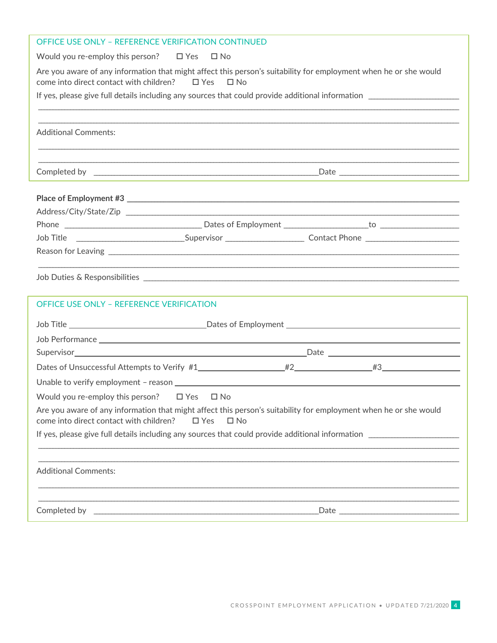| Would you re-employ this person? $\Box$ Yes $\Box$ No<br>Are you aware of any information that might affect this person's suitability for employment when he or she would<br>come into direct contact with children? $\Box$ Yes $\Box$ No<br><b>Additional Comments:</b><br>Job Title __________________________________Supervisor __________________________ Contact Phone ______________________<br><b>OFFICE USE ONLY - REFERENCE VERIFICATION</b><br>Job Title <b>Constanting Constanting Constanting Constanting Constanting Constanting Constanting Constanting Constanting Constanting Constanting Constanting Constanting Constanting Constanting Constanting Constanting Constan</b><br>Would you re-employ this person? $\Box$ Yes $\Box$ No<br>Are you aware of any information that might affect this person's suitability for employment when he or she would<br>come into direct contact with children?<br>$\Box$ Yes<br>$\square$ No<br><b>Additional Comments:</b><br>,我们也不能在这里的人,我们也不能在这里的人,我们也不能在这里的人,我们也不能在这里的人,我们也不能在这里的人,我们也不能在这里的人,我们也不能在这里的人,我们也 | OFFICE USE ONLY - REFERENCE VERIFICATION CONTINUED |  |  |  |  |
|-------------------------------------------------------------------------------------------------------------------------------------------------------------------------------------------------------------------------------------------------------------------------------------------------------------------------------------------------------------------------------------------------------------------------------------------------------------------------------------------------------------------------------------------------------------------------------------------------------------------------------------------------------------------------------------------------------------------------------------------------------------------------------------------------------------------------------------------------------------------------------------------------------------------------------------------------------------------------------------------------------------------------------------------------------------------------|----------------------------------------------------|--|--|--|--|
|                                                                                                                                                                                                                                                                                                                                                                                                                                                                                                                                                                                                                                                                                                                                                                                                                                                                                                                                                                                                                                                                         |                                                    |  |  |  |  |
|                                                                                                                                                                                                                                                                                                                                                                                                                                                                                                                                                                                                                                                                                                                                                                                                                                                                                                                                                                                                                                                                         |                                                    |  |  |  |  |
|                                                                                                                                                                                                                                                                                                                                                                                                                                                                                                                                                                                                                                                                                                                                                                                                                                                                                                                                                                                                                                                                         |                                                    |  |  |  |  |
|                                                                                                                                                                                                                                                                                                                                                                                                                                                                                                                                                                                                                                                                                                                                                                                                                                                                                                                                                                                                                                                                         |                                                    |  |  |  |  |
|                                                                                                                                                                                                                                                                                                                                                                                                                                                                                                                                                                                                                                                                                                                                                                                                                                                                                                                                                                                                                                                                         |                                                    |  |  |  |  |
|                                                                                                                                                                                                                                                                                                                                                                                                                                                                                                                                                                                                                                                                                                                                                                                                                                                                                                                                                                                                                                                                         |                                                    |  |  |  |  |
|                                                                                                                                                                                                                                                                                                                                                                                                                                                                                                                                                                                                                                                                                                                                                                                                                                                                                                                                                                                                                                                                         |                                                    |  |  |  |  |
|                                                                                                                                                                                                                                                                                                                                                                                                                                                                                                                                                                                                                                                                                                                                                                                                                                                                                                                                                                                                                                                                         |                                                    |  |  |  |  |
|                                                                                                                                                                                                                                                                                                                                                                                                                                                                                                                                                                                                                                                                                                                                                                                                                                                                                                                                                                                                                                                                         |                                                    |  |  |  |  |
|                                                                                                                                                                                                                                                                                                                                                                                                                                                                                                                                                                                                                                                                                                                                                                                                                                                                                                                                                                                                                                                                         |                                                    |  |  |  |  |
|                                                                                                                                                                                                                                                                                                                                                                                                                                                                                                                                                                                                                                                                                                                                                                                                                                                                                                                                                                                                                                                                         |                                                    |  |  |  |  |
|                                                                                                                                                                                                                                                                                                                                                                                                                                                                                                                                                                                                                                                                                                                                                                                                                                                                                                                                                                                                                                                                         |                                                    |  |  |  |  |
|                                                                                                                                                                                                                                                                                                                                                                                                                                                                                                                                                                                                                                                                                                                                                                                                                                                                                                                                                                                                                                                                         |                                                    |  |  |  |  |
|                                                                                                                                                                                                                                                                                                                                                                                                                                                                                                                                                                                                                                                                                                                                                                                                                                                                                                                                                                                                                                                                         |                                                    |  |  |  |  |
|                                                                                                                                                                                                                                                                                                                                                                                                                                                                                                                                                                                                                                                                                                                                                                                                                                                                                                                                                                                                                                                                         |                                                    |  |  |  |  |
|                                                                                                                                                                                                                                                                                                                                                                                                                                                                                                                                                                                                                                                                                                                                                                                                                                                                                                                                                                                                                                                                         |                                                    |  |  |  |  |
|                                                                                                                                                                                                                                                                                                                                                                                                                                                                                                                                                                                                                                                                                                                                                                                                                                                                                                                                                                                                                                                                         |                                                    |  |  |  |  |
|                                                                                                                                                                                                                                                                                                                                                                                                                                                                                                                                                                                                                                                                                                                                                                                                                                                                                                                                                                                                                                                                         |                                                    |  |  |  |  |
|                                                                                                                                                                                                                                                                                                                                                                                                                                                                                                                                                                                                                                                                                                                                                                                                                                                                                                                                                                                                                                                                         |                                                    |  |  |  |  |
|                                                                                                                                                                                                                                                                                                                                                                                                                                                                                                                                                                                                                                                                                                                                                                                                                                                                                                                                                                                                                                                                         |                                                    |  |  |  |  |
|                                                                                                                                                                                                                                                                                                                                                                                                                                                                                                                                                                                                                                                                                                                                                                                                                                                                                                                                                                                                                                                                         |                                                    |  |  |  |  |
|                                                                                                                                                                                                                                                                                                                                                                                                                                                                                                                                                                                                                                                                                                                                                                                                                                                                                                                                                                                                                                                                         |                                                    |  |  |  |  |
|                                                                                                                                                                                                                                                                                                                                                                                                                                                                                                                                                                                                                                                                                                                                                                                                                                                                                                                                                                                                                                                                         |                                                    |  |  |  |  |
|                                                                                                                                                                                                                                                                                                                                                                                                                                                                                                                                                                                                                                                                                                                                                                                                                                                                                                                                                                                                                                                                         |                                                    |  |  |  |  |
|                                                                                                                                                                                                                                                                                                                                                                                                                                                                                                                                                                                                                                                                                                                                                                                                                                                                                                                                                                                                                                                                         |                                                    |  |  |  |  |
|                                                                                                                                                                                                                                                                                                                                                                                                                                                                                                                                                                                                                                                                                                                                                                                                                                                                                                                                                                                                                                                                         |                                                    |  |  |  |  |
|                                                                                                                                                                                                                                                                                                                                                                                                                                                                                                                                                                                                                                                                                                                                                                                                                                                                                                                                                                                                                                                                         |                                                    |  |  |  |  |
|                                                                                                                                                                                                                                                                                                                                                                                                                                                                                                                                                                                                                                                                                                                                                                                                                                                                                                                                                                                                                                                                         |                                                    |  |  |  |  |
|                                                                                                                                                                                                                                                                                                                                                                                                                                                                                                                                                                                                                                                                                                                                                                                                                                                                                                                                                                                                                                                                         |                                                    |  |  |  |  |
|                                                                                                                                                                                                                                                                                                                                                                                                                                                                                                                                                                                                                                                                                                                                                                                                                                                                                                                                                                                                                                                                         |                                                    |  |  |  |  |
|                                                                                                                                                                                                                                                                                                                                                                                                                                                                                                                                                                                                                                                                                                                                                                                                                                                                                                                                                                                                                                                                         |                                                    |  |  |  |  |